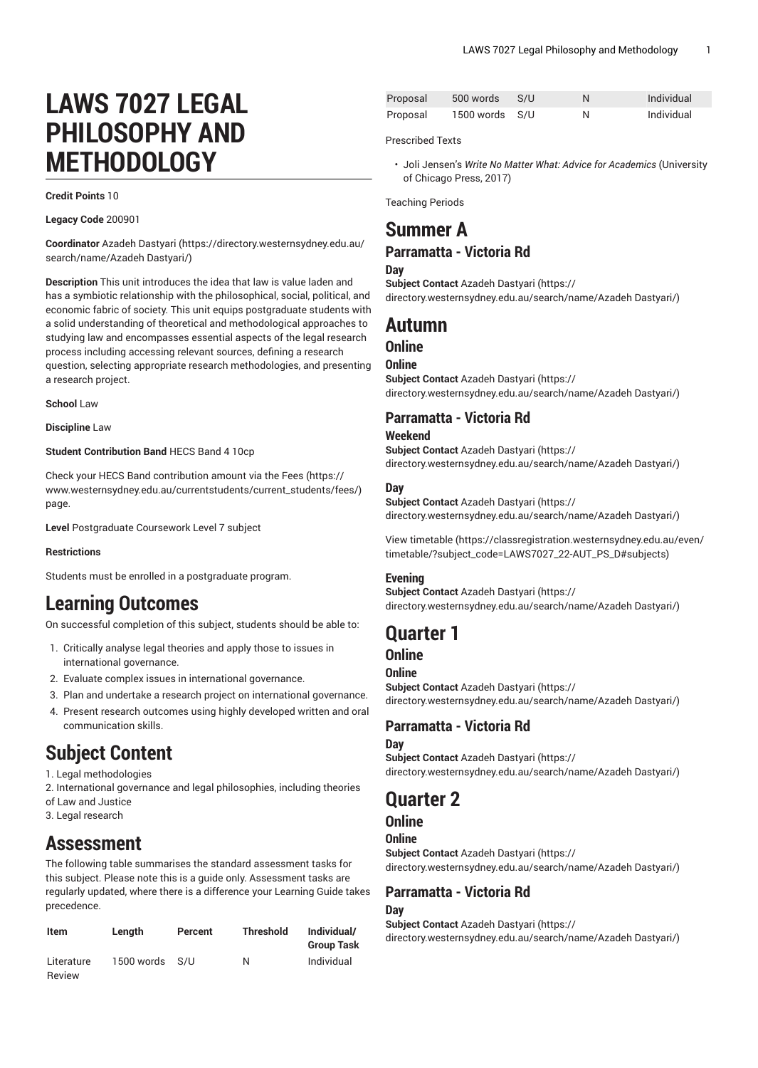# **LAWS 7027 LEGAL PHILOSOPHY AND METHODOLOGY**

#### **Credit Points** 10

**Legacy Code** 200901

**Coordinator** Azadeh [Dastyari](https://directory.westernsydney.edu.au/search/name/Azadeh Dastyari/) ([https://directory.westernsydney.edu.au/](https://directory.westernsydney.edu.au/search/name/Azadeh Dastyari/) [search/name/Azadeh](https://directory.westernsydney.edu.au/search/name/Azadeh Dastyari/) Dastyari/)

**Description** This unit introduces the idea that law is value laden and has a symbiotic relationship with the philosophical, social, political, and economic fabric of society. This unit equips postgraduate students with a solid understanding of theoretical and methodological approaches to studying law and encompasses essential aspects of the legal research process including accessing relevant sources, defining a research question, selecting appropriate research methodologies, and presenting a research project.

**School** Law

**Discipline** Law

#### **Student Contribution Band** HECS Band 4 10cp

Check your HECS Band contribution amount via the [Fees \(https://](https://www.westernsydney.edu.au/currentstudents/current_students/fees/) [www.westernsydney.edu.au/currentstudents/current\\_students/fees/\)](https://www.westernsydney.edu.au/currentstudents/current_students/fees/) page.

**Level** Postgraduate Coursework Level 7 subject

#### **Restrictions**

Students must be enrolled in a postgraduate program.

# **Learning Outcomes**

On successful completion of this subject, students should be able to:

- 1. Critically analyse legal theories and apply those to issues in international governance.
- 2. Evaluate complex issues in international governance.
- 3. Plan and undertake a research project on international governance.
- 4. Present research outcomes using highly developed written and oral communication skills.

# **Subject Content**

1. Legal methodologies

- 2. International governance and legal philosophies, including theories of Law and Justice
- 3. Legal research

# **Assessment**

The following table summarises the standard assessment tasks for this subject. Please note this is a guide only. Assessment tasks are regularly updated, where there is a difference your Learning Guide takes precedence.

| Item                 | Length         | Percent | <b>Threshold</b> | Individual/<br><b>Group Task</b> |
|----------------------|----------------|---------|------------------|----------------------------------|
| Literature<br>Review | 1500 words S/U |         | N                | Individual                       |

| Proposal | 500 words      | - S/U |   | Individual |
|----------|----------------|-------|---|------------|
| Proposal | 1500 words S/U |       | N | Individual |

Prescribed Texts

• Joli Jensen's *Write No Matter What: Advice for Academics* (University of Chicago Press, 2017)

Teaching Periods

# **Summer A**

### **Parramatta - Victoria Rd**

**Day**

**Subject Contact** Azadeh [Dastyari](https://directory.westernsydney.edu.au/search/name/Azadeh Dastyari/) ([https://](https://directory.westernsydney.edu.au/search/name/Azadeh Dastyari/)

[directory.westernsydney.edu.au/search/name/Azadeh](https://directory.westernsydney.edu.au/search/name/Azadeh Dastyari/) Dastyari/)

## **Autumn**

### **Online**

**Online**

**Subject Contact** Azadeh [Dastyari](https://directory.westernsydney.edu.au/search/name/Azadeh Dastyari/) ([https://](https://directory.westernsydney.edu.au/search/name/Azadeh Dastyari/) [directory.westernsydney.edu.au/search/name/Azadeh](https://directory.westernsydney.edu.au/search/name/Azadeh Dastyari/) Dastyari/)

### **Parramatta - Victoria Rd**

#### **Weekend**

**Subject Contact** Azadeh [Dastyari](https://directory.westernsydney.edu.au/search/name/Azadeh Dastyari/) ([https://](https://directory.westernsydney.edu.au/search/name/Azadeh Dastyari/) [directory.westernsydney.edu.au/search/name/Azadeh](https://directory.westernsydney.edu.au/search/name/Azadeh Dastyari/) Dastyari/)

#### **Day**

**Subject Contact** Azadeh [Dastyari](https://directory.westernsydney.edu.au/search/name/Azadeh Dastyari/) ([https://](https://directory.westernsydney.edu.au/search/name/Azadeh Dastyari/) [directory.westernsydney.edu.au/search/name/Azadeh](https://directory.westernsydney.edu.au/search/name/Azadeh Dastyari/) Dastyari/)

[View timetable](https://classregistration.westernsydney.edu.au/even/timetable/?subject_code=LAWS7027_22-AUT_PS_D#subjects) [\(https://classregistration.westernsydney.edu.au/even/](https://classregistration.westernsydney.edu.au/even/timetable/?subject_code=LAWS7027_22-AUT_PS_D#subjects) [timetable/?subject\\_code=LAWS7027\\_22-AUT\\_PS\\_D#subjects](https://classregistration.westernsydney.edu.au/even/timetable/?subject_code=LAWS7027_22-AUT_PS_D#subjects))

#### **Evening**

**Subject Contact** Azadeh [Dastyari](https://directory.westernsydney.edu.au/search/name/Azadeh Dastyari/) ([https://](https://directory.westernsydney.edu.au/search/name/Azadeh Dastyari/) [directory.westernsydney.edu.au/search/name/Azadeh](https://directory.westernsydney.edu.au/search/name/Azadeh Dastyari/) Dastyari/)

# **Quarter 1**

### **Online**

#### **Online**

**Subject Contact** Azadeh [Dastyari](https://directory.westernsydney.edu.au/search/name/Azadeh Dastyari/) ([https://](https://directory.westernsydney.edu.au/search/name/Azadeh Dastyari/) [directory.westernsydney.edu.au/search/name/Azadeh](https://directory.westernsydney.edu.au/search/name/Azadeh Dastyari/) Dastyari/)

### **Parramatta - Victoria Rd**

#### **Day**

**Subject Contact** Azadeh [Dastyari](https://directory.westernsydney.edu.au/search/name/Azadeh Dastyari/) ([https://](https://directory.westernsydney.edu.au/search/name/Azadeh Dastyari/) [directory.westernsydney.edu.au/search/name/Azadeh](https://directory.westernsydney.edu.au/search/name/Azadeh Dastyari/) Dastyari/)

# **Quarter 2**

### **Online**

### **Online**

**Subject Contact** Azadeh [Dastyari](https://directory.westernsydney.edu.au/search/name/Azadeh Dastyari/) ([https://](https://directory.westernsydney.edu.au/search/name/Azadeh Dastyari/) [directory.westernsydney.edu.au/search/name/Azadeh](https://directory.westernsydney.edu.au/search/name/Azadeh Dastyari/) Dastyari/)

#### **Parramatta - Victoria Rd Day**

**Subject Contact** Azadeh [Dastyari](https://directory.westernsydney.edu.au/search/name/Azadeh Dastyari/) ([https://](https://directory.westernsydney.edu.au/search/name/Azadeh Dastyari/) [directory.westernsydney.edu.au/search/name/Azadeh](https://directory.westernsydney.edu.au/search/name/Azadeh Dastyari/) Dastyari/)